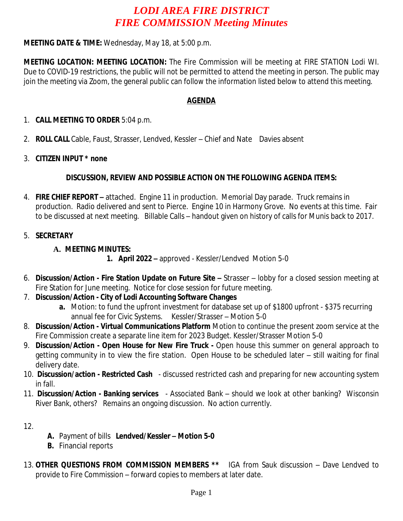# *LODI AREA FIRE DISTRICT FIRE COMMISSION Meeting Minutes*

## **MEETING DATE & TIME:** Wednesday, May 18, at 5:00 p.m.

**MEETING LOCATION: MEETING LOCATION:** The Fire Commission will be meeting at FIRE STATION Lodi WI. Due to COVID-19 restrictions, the public will not be permitted to attend the meeting in person. The public may join the meeting via Zoom, the general public can follow the information listed below to attend this meeting.

### **AGENDA**

#### 1. **CALL MEETING TO ORDER** 5:04 p.m.

- 2. **ROLL CALL** Cable, Faust, Strasser, Lendved, Kessler Chief and Nate Davies absent
- 3. **CITIZEN INPUT \* none**

## **DISCUSSION, REVIEW AND POSSIBLE ACTION ON THE FOLLOWING AGENDA ITEMS:**

- 4. **FIRE CHIEF REPORT –** attached. Engine 11 in production. Memorial Day parade. Truck remains in production. Radio delivered and sent to Pierce. Engine 10 in Harmony Grove. No events at this time. Fair to be discussed at next meeting. Billable Calls – handout given on history of calls for Munis back to 2017.
- 5. **SECRETARY**

## **A. MEETING MINUTES:**

- **1. April 2022 –** approved Kessler/Lendved Motion 5-0
- 6. **Discussion/Action - Fire Station Update on Future Site –** Strasser lobby for a closed session meeting at Fire Station for June meeting. Notice for close session for future meeting.
- 7. **Discussion/Action City of Lodi Accounting Software Changes**
	- **a.** Motion: to fund the upfront investment for database set up of \$1800 upfront \$375 recurring annual fee for Civic Systems. Kessler/Strasser – Motion 5-0
- 8. **Discussion/Action - Virtual Communications Platform** Motion to continue the present zoom service at the Fire Commission create a separate line item for 2023 Budget. Kessler/Strasser Motion 5-0
- 9. **Discussion/Action - Open House for New Fire Truck -** Open house this summer on general approach to getting community in to view the fire station. Open House to be scheduled later – still waiting for final delivery date.
- 10. **Discussion/action - Restricted Cash** discussed restricted cash and preparing for new accounting system in fall.
- 11. **Discussion/Action - Banking services** Associated Bank should we look at other banking? Wisconsin River Bank, others? Remains an ongoing discussion. No action currently.

12.

- **A.** Payment of bills **Lendved/Kessler – Motion 5-0**
- **B.** Financial reports
- 13. **OTHER QUESTIONS FROM COMMISSION MEMBERS \*\*** IGA from Sauk discussion Dave Lendved to provide to Fire Commission – forward copies to members at later date.